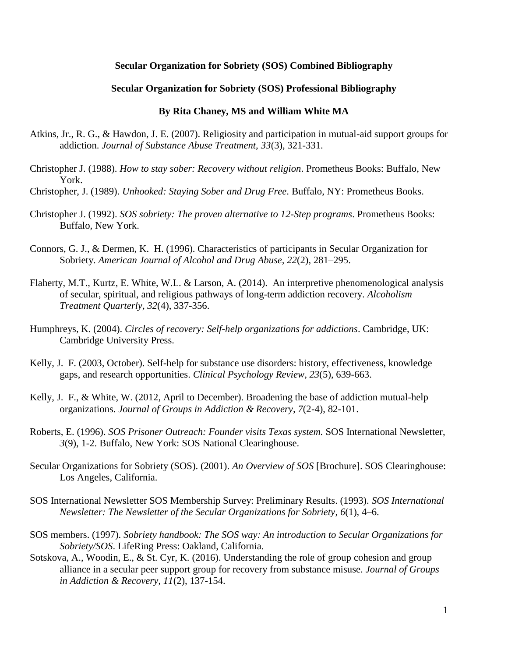## **Secular Organization for Sobriety (SOS) Combined Bibliography**

### **Secular Organization for Sobriety (SOS) Professional Bibliography**

### **By Rita Chaney, MS and William White MA**

- Atkins, Jr., R. G., & Hawdon, J. E. (2007). Religiosity and participation in mutual-aid support groups for addiction. *Journal of Substance Abuse Treatment, 33*(3), 321-331.
- Christopher J. (1988). *How to stay sober: Recovery without religion*. Prometheus Books: Buffalo, New York.
- Christopher, J. (1989). *Unhooked: Staying Sober and Drug Free*. Buffalo, NY: Prometheus Books.
- Christopher J. (1992). *SOS sobriety: The proven alternative to 12-Step programs*. Prometheus Books: Buffalo, New York.
- Connors, G. J., & Dermen, K. H. (1996). Characteristics of participants in Secular Organization for Sobriety. *American Journal of Alcohol and Drug Abuse, 22*(2), 281–295.
- Flaherty, M.T., Kurtz, E. White, W.L. & Larson, A. (2014). An interpretive phenomenological analysis of secular, spiritual, and religious pathways of long-term addiction recovery. *Alcoholism Treatment Quarterly, 32*(4), 337-356.
- Humphreys, K. (2004). *Circles of recovery: Self-help organizations for addictions*. Cambridge, UK: Cambridge University Press.
- Kelly, J. F. (2003, October). Self-help for substance use disorders: history, effectiveness, knowledge gaps, and research opportunities. *Clinical Psychology Review, 23*(5), 639-663.
- Kelly, J. F., & White, W. (2012, April to December). Broadening the base of addiction mutual-help organizations. *Journal of Groups in Addiction & Recovery, 7*(2-4), 82-101.
- Roberts, E. (1996). *SOS Prisoner Outreach: Founder visits Texas system.* SOS International Newsletter, *3*(9), 1-2. Buffalo, New York: SOS National Clearinghouse.
- Secular Organizations for Sobriety (SOS). (2001). *An Overview of SOS* [Brochure]. SOS Clearinghouse: Los Angeles, California.
- SOS International Newsletter SOS Membership Survey: Preliminary Results. (1993). *SOS International Newsletter: The Newsletter of the Secular Organizations for Sobriety*, *6*(1), 4–6.
- SOS members. (1997). *Sobriety handbook: The SOS way: An introduction to Secular Organizations for Sobriety/SOS*. LifeRing Press: Oakland, California.
- Sotskova, A., Woodin, E., & St. Cyr, K. (2016). Understanding the role of group cohesion and group alliance in a secular peer support group for recovery from substance misuse. *Journal of Groups in Addiction & Recovery, 11*(2), 137-154.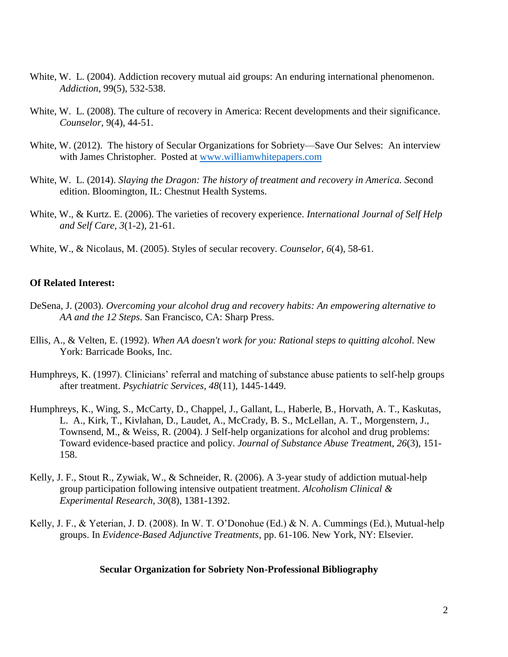- White, W. L. (2004). Addiction recovery mutual aid groups: An enduring international phenomenon. *Addiction*, 99(5), 532-538.
- White, W. L. (2008). The culture of recovery in America: Recent developments and their significance. *Counselor*, 9(4), 44-51.
- White, W. (2012). The history of Secular Organizations for Sobriety—Save Our Selves: An interview with James Christopher. Posted at [www.williamwhitepapers.com](http://www.williamwhitepapers.com/)
- White, W. L. (2014). *Slaying the Dragon: The history of treatment and recovery in America. S*econd edition. Bloomington, IL: Chestnut Health Systems.
- White, W., & Kurtz. E. (2006). The varieties of recovery experience. *International Journal of Self Help and Self Care, 3*(1-2), 21-61.
- White, W., & Nicolaus, M. (2005). Styles of secular recovery. *Counselor, 6*(4), 58-61.

# **Of Related Interest:**

- DeSena, J. (2003). *Overcoming your alcohol drug and recovery habits: An empowering alternative to AA and the 12 Steps*. San Francisco, CA: Sharp Press.
- Ellis, A., & Velten, E. (1992). *When AA doesn't work for you: Rational steps to quitting alcohol*. New York: Barricade Books, Inc.
- Humphreys, K. (1997). Clinicians' referral and matching of substance abuse patients to self-help groups after treatment. *Psychiatric Services*, *48*(11), 1445-1449.
- Humphreys, K., Wing, S., McCarty, D., Chappel, J., Gallant, L., Haberle, B., Horvath, A. T., Kaskutas, L. A., Kirk, T., Kivlahan, D., Laudet, A., McCrady, B. S., McLellan, A. T., Morgenstern, J., Townsend, M., & Weiss, R. (2004). J Self-help organizations for alcohol and drug problems: Toward evidence-based practice and policy. *Journal of Substance Abuse Treatmen*t, *26*(3), 151- 158.
- Kelly, J. F., Stout R., Zywiak, W., & Schneider, R. (2006). A 3-year study of addiction mutual-help group participation following intensive outpatient treatment. *Alcoholism Clinical & Experimental Research, 30*(8), 1381-1392.
- Kelly, J. F., & Yeterian, J. D. (2008). In W. T. O'Donohue (Ed.) & N. A. Cummings (Ed.), Mutual-help groups. In *Evidence-Based Adjunctive Treatments*, pp. 61-106. New York, NY: Elsevier.

#### **Secular Organization for Sobriety Non-Professional Bibliography**